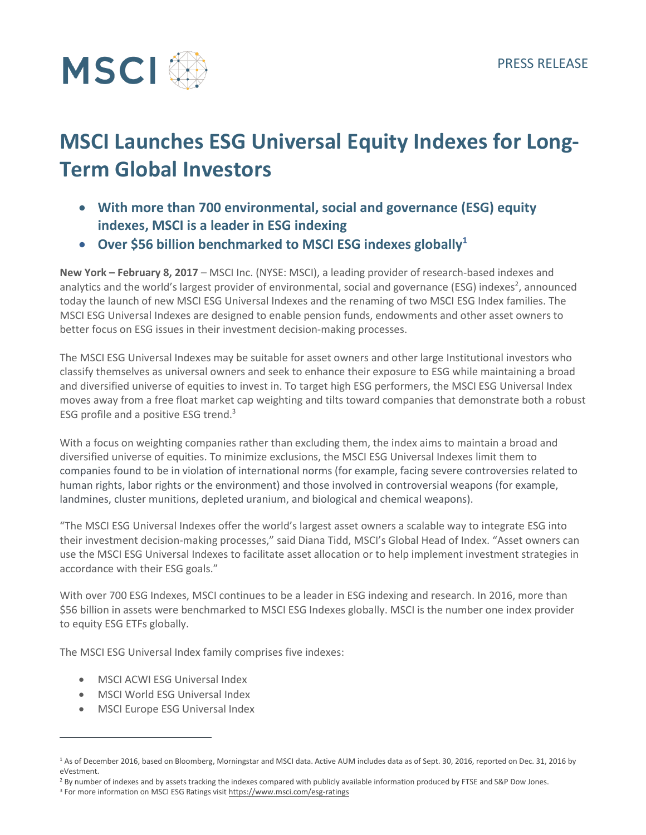

# **MSCI Launches ESG Universal Equity Indexes for Long-Term Global Investors**

- **With more than 700 environmental, social and governance (ESG) equity indexes, MSCI is a leader in ESG indexing**
- **Over \$56 billion benchmarked to MSCI ESG indexes globally<sup>1</sup>**

**New York – February 8, 2017** – MSCI Inc. (NYSE: MSCI), a leading provider of research-based indexes and analytics and the world's largest provider of environmental, social and governance (ESG) indexes<sup>2</sup>, announced today the launch of new MSCI ESG Universal Indexes and the renaming of two MSCI ESG Index families. The MSCI ESG Universal Indexes are designed to enable pension funds, endowments and other asset owners to better focus on ESG issues in their investment decision-making processes.

The MSCI ESG Universal Indexes may be suitable for asset owners and other large Institutional investors who classify themselves as universal owners and seek to enhance their exposure to ESG while maintaining a broad and diversified universe of equities to invest in. To target high ESG performers, the MSCI ESG Universal Index moves away from a free float market cap weighting and tilts toward companies that demonstrate both a robust ESG profile and a positive ESG trend.<sup>3</sup>

With a focus on weighting companies rather than excluding them, the index aims to maintain a broad and diversified universe of equities. To minimize exclusions, the MSCI ESG Universal Indexes limit them to companies found to be in violation of international norms (for example, facing severe controversies related to human rights, labor rights or the environment) and those involved in controversial weapons (for example, landmines, cluster munitions, depleted uranium, and biological and chemical weapons).

"The MSCI ESG Universal Indexes offer the world's largest asset owners a scalable way to integrate ESG into their investment decision-making processes," said Diana Tidd, MSCI's Global Head of Index. "Asset owners can use the MSCI ESG Universal Indexes to facilitate asset allocation or to help implement investment strategies in accordance with their ESG goals."

With over 700 ESG Indexes, MSCI continues to be a leader in ESG indexing and research. In 2016, more than \$56 billion in assets were benchmarked to MSCI ESG Indexes globally. MSCI is the number one index provider to equity ESG ETFs globally.

The MSCI ESG Universal Index family comprises five indexes:

- MSCI ACWI ESG Universal Index
- MSCI World ESG Universal Index
- MSCI Europe ESG Universal Index

 $\overline{a}$ 

<sup>&</sup>lt;sup>1</sup> As of December 2016, based on Bloomberg, Morningstar and MSCI data. Active AUM includes data as of Sept. 30, 2016, reported on Dec. 31, 2016 by eVestment.

<sup>&</sup>lt;sup>2</sup> By number of indexes and by assets tracking the indexes compared with publicly available information produced by FTSE and S&P Dow Jones.

<sup>&</sup>lt;sup>3</sup> For more information on MSCI ESG Ratings visit<https://www.msci.com/esg-ratings>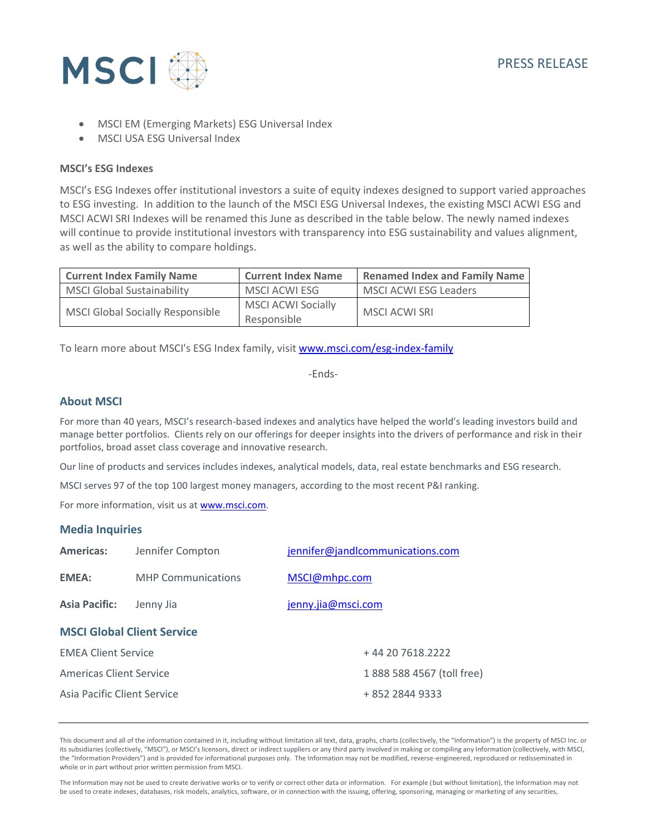

- MSCI EM (Emerging Markets) ESG Universal Index
- MSCI USA ESG Universal Index

#### **MSCI's ESG Indexes**

MSCI's ESG Indexes offer institutional investors a suite of equity indexes designed to support varied approaches to ESG investing. In addition to the launch of the MSCI ESG Universal Indexes, the existing MSCI ACWI ESG and MSCI ACWI SRI Indexes will be renamed this June as described in the table below. The newly named indexes will continue to provide institutional investors with transparency into ESG sustainability and values alignment, as well as the ability to compare holdings.

| <b>Current Index Family Name</b>        | <b>Current Index Name</b> | <b>Renamed Index and Family Name</b> |
|-----------------------------------------|---------------------------|--------------------------------------|
| <b>MSCI Global Sustainability</b>       | MSCI ACWI ESG             | <b>MSCI ACWI ESG Leaders</b>         |
| <b>MSCI Global Socially Responsible</b> | <b>MSCI ACWI Socially</b> | MSCI ACWI SRI                        |
|                                         | Responsible               |                                      |

To learn more about MSCI's ESG Index family, visit [www.msci.com/esg-index-family](http://www.msci.com/esg-index-family)

-Ends-

### **About MSCI**

For more than 40 years, MSCI's research-based indexes and analytics have helped the world's leading investors build and manage better portfolios. Clients rely on our offerings for deeper insights into the drivers of performance and risk in their portfolios, broad asset class coverage and innovative research.

Our line of products and services includes indexes, analytical models, data, real estate benchmarks and ESG research.

MSCI serves 97 of the top 100 largest money managers, according to the most recent P&I ranking.

For more information, visit us at [www.msci.com.](http://www.msci.com/)

### **Media Inquiries**

| <b>Americas:</b>                  | Jennifer Compton          | jennifer@jandlcommunications.com |  |
|-----------------------------------|---------------------------|----------------------------------|--|
| <b>EMEA:</b>                      | <b>MHP Communications</b> | MSCI@mhpc.com                    |  |
| <b>Asia Pacific:</b>              | Jenny Jia                 | jenny.jia@msci.com               |  |
| <b>MSCI Global Client Service</b> |                           |                                  |  |
| <b>EMEA Client Service</b>        |                           | +44 20 7618.2222                 |  |
| <b>Americas Client Service</b>    |                           | 1 888 588 4567 (toll free)       |  |
| Asia Pacific Client Service       |                           | + 852 2844 9333                  |  |

This document and all of the information contained in it, including without limitation all text, data, graphs, charts (collectively, the "Information") is the property of MSCI Inc. or its subsidiaries (collectively, "MSCI"), or MSCI's licensors, direct or indirect suppliers or any third party involved in making or compiling any Information (collectively, with MSCI, the "Information Providers") and is provided for informational purposes only. The Information may not be modified, reverse-engineered, reproduced or redisseminated in whole or in part without prior written permission from MSCI.

The Information may not be used to create derivative works or to verify or correct other data or information. For example (but without limitation), the Information may not be used to create indexes, databases, risk models, analytics, software, or in connection with the issuing, offering, sponsoring, managing or marketing of any securities,